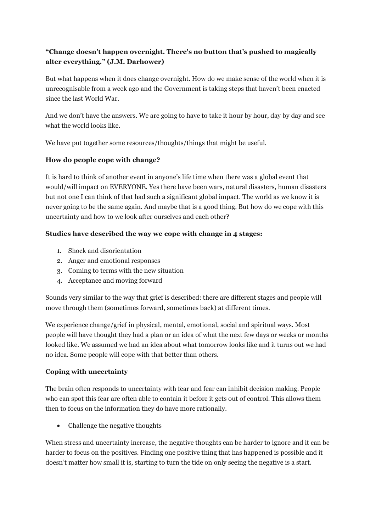# **"Change doesn't happen overnight. There's no button that's pushed to magically alter everything." (J.M. Darhower)**

But what happens when it does change overnight. How do we make sense of the world when it is unrecognisable from a week ago and the Government is taking steps that haven't been enacted since the last World War.

And we don't have the answers. We are going to have to take it hour by hour, day by day and see what the world looks like.

We have put together some resources/thoughts/things that might be useful.

## **How do people cope with change?**

It is hard to think of another event in anyone's life time when there was a global event that would/will impact on EVERYONE. Yes there have been wars, natural disasters, human disasters but not one I can think of that had such a significant global impact. The world as we know it is never going to be the same again. And maybe that is a good thing. But how do we cope with this uncertainty and how to we look after ourselves and each other?

## **Studies have described the way we cope with change in 4 stages:**

- 1. Shock and disorientation
- 2. Anger and emotional responses
- 3. Coming to terms with the new situation
- 4. Acceptance and moving forward

Sounds very similar to the way that grief is described: there are different stages and people will move through them (sometimes forward, sometimes back) at different times.

We experience change/grief in physical, mental, emotional, social and spiritual ways. Most people will have thought they had a plan or an idea of what the next few days or weeks or months looked like. We assumed we had an idea about what tomorrow looks like and it turns out we had no idea. Some people will cope with that better than others.

## **Coping with uncertainty**

The brain often responds to uncertainty with fear and fear can inhibit decision making. People who can spot this fear are often able to contain it before it gets out of control. This allows them then to focus on the information they do have more rationally.

• Challenge the negative thoughts

When stress and uncertainty increase, the negative thoughts can be harder to ignore and it can be harder to focus on the positives. Finding one positive thing that has happened is possible and it doesn't matter how small it is, starting to turn the tide on only seeing the negative is a start.